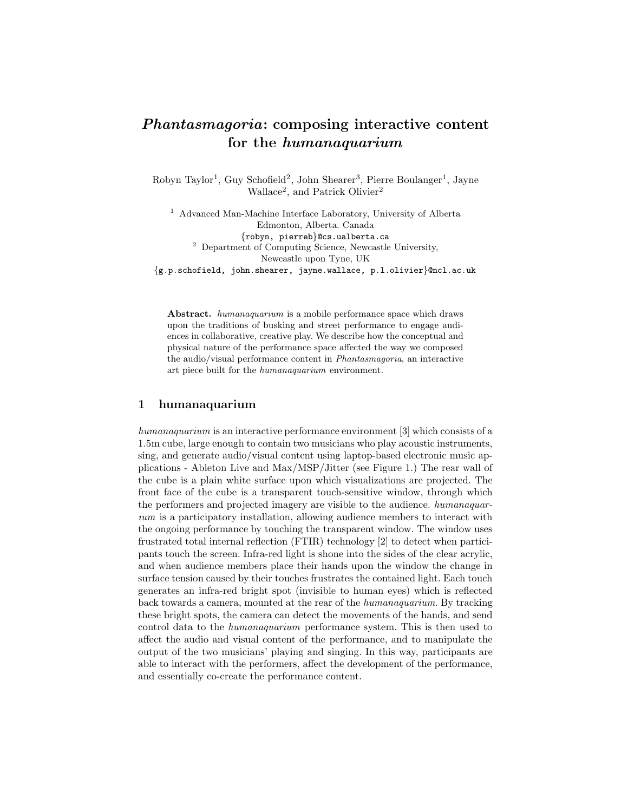# Phantasmagoria: composing interactive content for the humanaquarium

Robyn Taylor<sup>1</sup>, Guy Schofield<sup>2</sup>, John Shearer<sup>3</sup>, Pierre Boulanger<sup>1</sup>, Jayne Wallace2, and Patrick Olivier<sup>2</sup>

<sup>1</sup> Advanced Man-Machine Interface Laboratory, University of Alberta Edmonton, Alberta. Canada {robyn, pierreb}@cs.ualberta.ca <sup>2</sup> Department of Computing Science, Newcastle University, Newcastle upon Tyne, UK {g.p.schofield, john.shearer, jayne.wallace, p.l.olivier}@ncl.ac.uk

Abstract. humanaquarium is a mobile performance space which draws upon the traditions of busking and street performance to engage audiences in collaborative, creative play. We describe how the conceptual and physical nature of the performance space affected the way we composed the audio/visual performance content in Phantasmagoria, an interactive art piece built for the humanaquarium environment.

#### 1 humanaquarium

humanaquarium is an interactive performance environment [3] which consists of a 1.5m cube, large enough to contain two musicians who play acoustic instruments, sing, and generate audio/visual content using laptop-based electronic music applications - Ableton Live and Max/MSP/Jitter (see Figure 1.) The rear wall of the cube is a plain white surface upon which visualizations are projected. The front face of the cube is a transparent touch-sensitive window, through which the performers and projected imagery are visible to the audience. humanaquarium is a participatory installation, allowing audience members to interact with the ongoing performance by touching the transparent window. The window uses frustrated total internal reflection (FTIR) technology [2] to detect when participants touch the screen. Infra-red light is shone into the sides of the clear acrylic, and when audience members place their hands upon the window the change in surface tension caused by their touches frustrates the contained light. Each touch generates an infra-red bright spot (invisible to human eyes) which is reflected back towards a camera, mounted at the rear of the humanaquarium. By tracking these bright spots, the camera can detect the movements of the hands, and send control data to the humanaquarium performance system. This is then used to affect the audio and visual content of the performance, and to manipulate the output of the two musicians' playing and singing. In this way, participants are able to interact with the performers, affect the development of the performance, and essentially co-create the performance content.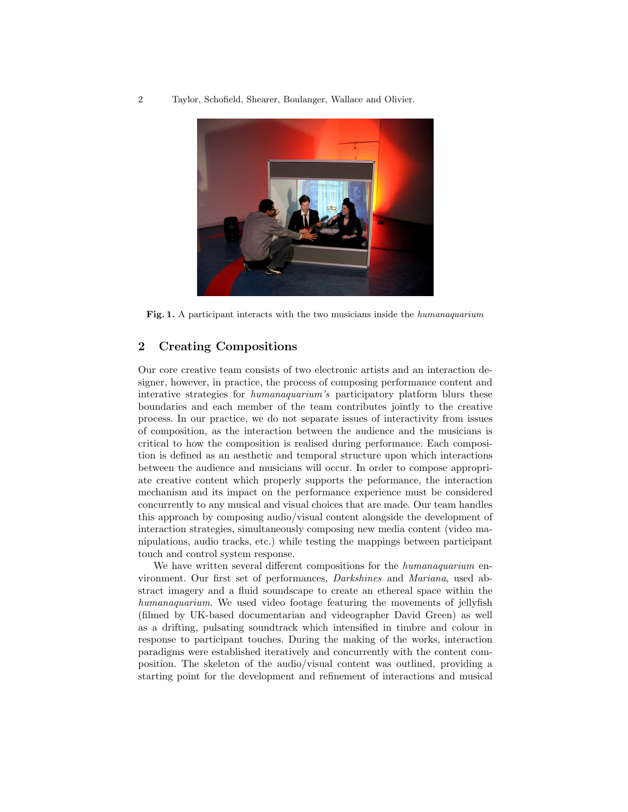2 Taylor, Schofield, Shearer, Boulanger, Wallace and Olivier.



Fig. 1. A participant interacts with the two musicians inside the humanaquarium

## 2 Creating Compositions

Our core creative team consists of two electronic artists and an interaction designer, however, in practice, the process of composing performance content and interative strategies for humanaquarium's participatory platform blurs these boundaries and each member of the team contributes jointly to the creative process. In our practice, we do not separate issues of interactivity from issues of composition, as the interaction between the audience and the musicians is critical to how the composition is realised during performance. Each composition is defined as an aesthetic and temporal structure upon which interactions between the audience and musicians will occur. In order to compose appropriate creative content which properly supports the peformance, the interaction mechanism and its impact on the performance experience must be considered concurrently to any musical and visual choices that are made. Our team handles this approach by composing audio/visual content alongside the development of interaction strategies, simultaneously composing new media content (video manipulations, audio tracks, etc.) while testing the mappings between participant touch and control system response.

We have written several different compositions for the humanaquarium environment. Our first set of performances, Darkshines and Mariana, used abstract imagery and a fluid soundscape to create an ethereal space within the humanaquarium. We used video footage featuring the movements of jellyfish (filmed by UK-based documentarian and videographer David Green) as well as a drifting, pulsating soundtrack which intensified in timbre and colour in response to participant touches. During the making of the works, interaction paradigms were established iteratively and concurrently with the content composition. The skeleton of the audio/visual content was outlined, providing a starting point for the development and refinement of interactions and musical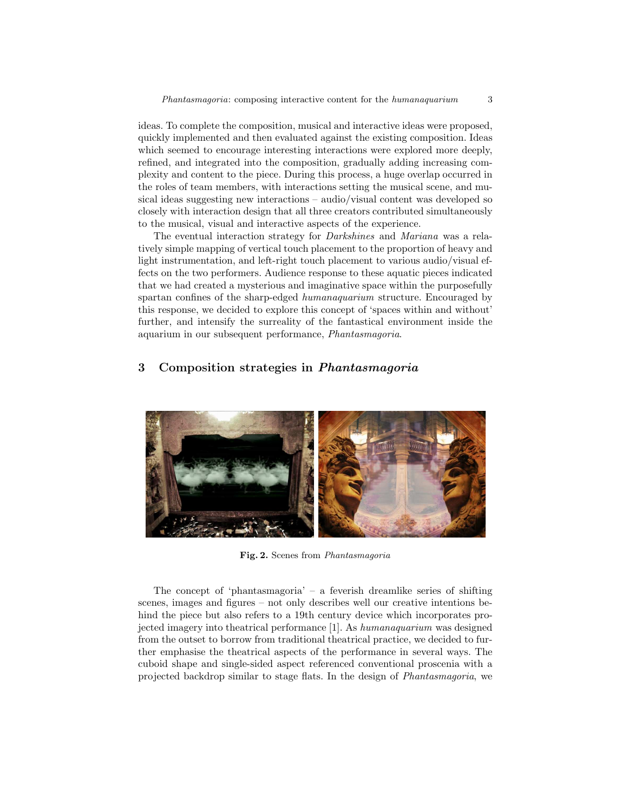ideas. To complete the composition, musical and interactive ideas were proposed, quickly implemented and then evaluated against the existing composition. Ideas which seemed to encourage interesting interactions were explored more deeply, refined, and integrated into the composition, gradually adding increasing complexity and content to the piece. During this process, a huge overlap occurred in the roles of team members, with interactions setting the musical scene, and musical ideas suggesting new interactions – audio/visual content was developed so closely with interaction design that all three creators contributed simultaneously to the musical, visual and interactive aspects of the experience.

The eventual interaction strategy for Darkshines and Mariana was a relatively simple mapping of vertical touch placement to the proportion of heavy and light instrumentation, and left-right touch placement to various audio/visual effects on the two performers. Audience response to these aquatic pieces indicated that we had created a mysterious and imaginative space within the purposefully spartan confines of the sharp-edged humanaquarium structure. Encouraged by this response, we decided to explore this concept of 'spaces within and without' further, and intensify the surreality of the fantastical environment inside the aquarium in our subsequent performance, Phantasmagoria.

### 3 Composition strategies in Phantasmagoria



Fig. 2. Scenes from Phantasmagoria

The concept of 'phantasmagoria' – a feverish dreamlike series of shifting scenes, images and figures – not only describes well our creative intentions behind the piece but also refers to a 19th century device which incorporates projected imagery into theatrical performance [1]. As humanaquarium was designed from the outset to borrow from traditional theatrical practice, we decided to further emphasise the theatrical aspects of the performance in several ways. The cuboid shape and single-sided aspect referenced conventional proscenia with a projected backdrop similar to stage flats. In the design of Phantasmagoria, we